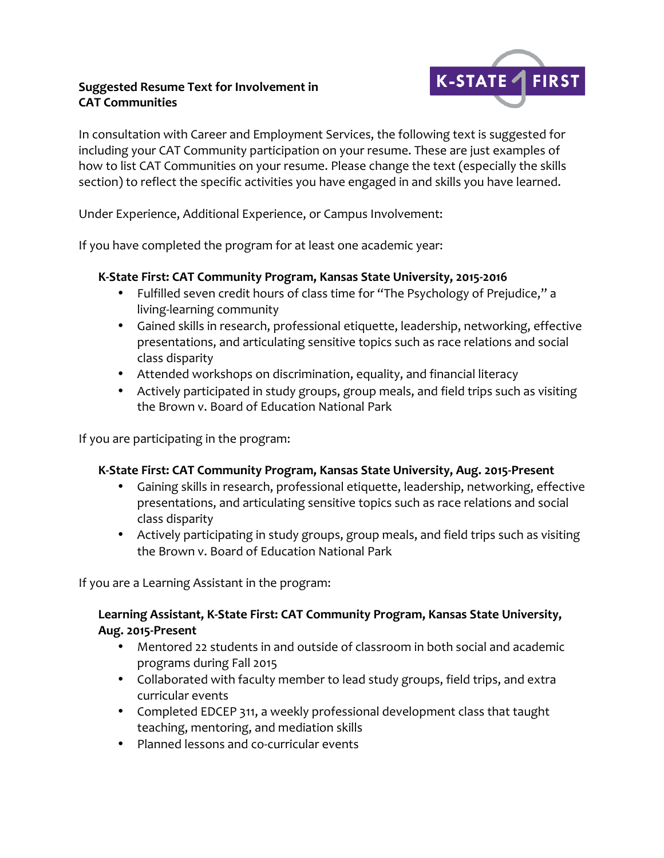### **Suggested Resume Text for Involvement in CAT Communities**



In consultation with Career and Employment Services, the following text is suggested for including your CAT Community participation on your resume. These are just examples of how to list CAT Communities on your resume. Please change the text (especially the skills section) to reflect the specific activities you have engaged in and skills you have learned.

Under Experience, Additional Experience, or Campus Involvement:

If you have completed the program for at least one academic year:

# K-State First: CAT Community Program, Kansas State University, 2015-2016

- Fulfilled seven credit hours of class time for "The Psychology of Prejudice," a living-learning community
- Gained skills in research, professional etiquette, leadership, networking, effective presentations, and articulating sensitive topics such as race relations and social class disparity
- Attended workshops on discrimination, equality, and financial literacy
- Actively participated in study groups, group meals, and field trips such as visiting the Brown y. Board of Education National Park

If you are participating in the program:

# K-State First: CAT Community Program, Kansas State University, Aug. 2015-Present

- Gaining skills in research, professional etiquette, leadership, networking, effective presentations, and articulating sensitive topics such as race relations and social class disparity
- Actively participating in study groups, group meals, and field trips such as visiting the Brown v. Board of Education National Park

If you are a Learning Assistant in the program:

### Learning Assistant, K-State First: CAT Community Program, Kansas State University, Aug. 2015-Present

- Mentored 22 students in and outside of classroom in both social and academic programs during Fall 2015
- Collaborated with faculty member to lead study groups, field trips, and extra curricular events
- Completed EDCEP 311, a weekly professional development class that taught teaching, mentoring, and mediation skills
- Planned lessons and co-curricular events